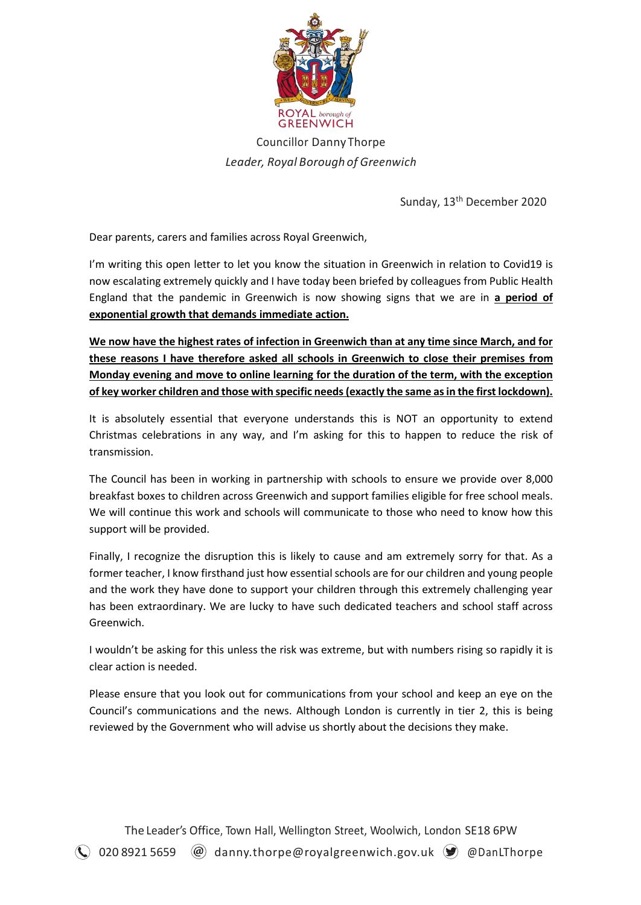

Councillor Danny Thorpe *Leader, Royal Borough of Greenwich*

Sunday, 13<sup>th</sup> December 2020

Dear parents, carers and families across Royal Greenwich,

I'm writing this open letter to let you know the situation in Greenwich in relation to Covid19 is now escalating extremely quickly and I have today been briefed by colleagues from Public Health England that the pandemic in Greenwich is now showing signs that we are in **a period of exponential growth that demands immediate action.**

**We now have the highest rates of infection in Greenwich than at any time since March, and for these reasons I have therefore asked all schools in Greenwich to close their premises from Monday evening and move to online learning for the duration of the term, with the exception of key worker children and those with specific needs (exactly the same as in the first lockdown).**

It is absolutely essential that everyone understands this is NOT an opportunity to extend Christmas celebrations in any way, and I'm asking for this to happen to reduce the risk of transmission.

The Council has been in working in partnership with schools to ensure we provide over 8,000 breakfast boxes to children across Greenwich and support families eligible for free school meals. We will continue this work and schools will communicate to those who need to know how this support will be provided.

Finally, I recognize the disruption this is likely to cause and am extremely sorry for that. As a former teacher, I know firsthand just how essential schools are for our children and young people and the work they have done to support your children through this extremely challenging year has been extraordinary. We are lucky to have such dedicated teachers and school staff across Greenwich.

I wouldn't be asking for this unless the risk was extreme, but with numbers rising so rapidly it is clear action is needed.

Please ensure that you look out for communications from your school and keep an eye on the Council's communications and the news. Although London is currently in tier 2, this is being reviewed by the Government who will advise us shortly about the decisions they make.